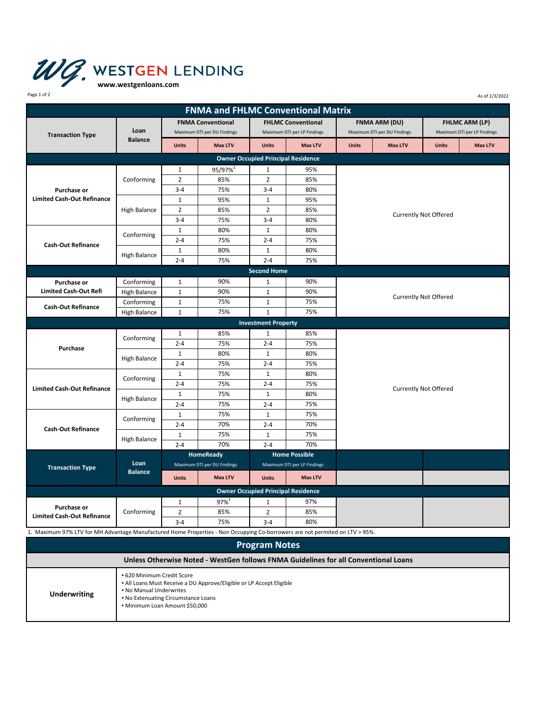

| Page 1 of 2<br>As of 1/3/2022                                                                                                |                        |                             |                                           |                                           |                |                              |                |                             |                |  |
|------------------------------------------------------------------------------------------------------------------------------|------------------------|-----------------------------|-------------------------------------------|-------------------------------------------|----------------|------------------------------|----------------|-----------------------------|----------------|--|
|                                                                                                                              |                        |                             | <b>FNMA and FHLMC Conventional Matrix</b> |                                           |                |                              |                |                             |                |  |
| <b>Transaction Type</b>                                                                                                      | Loan<br><b>Balance</b> | <b>FNMA Conventional</b>    |                                           | <b>FHLMC Conventional</b>                 |                | <b>FNMA ARM (DU)</b>         |                | <b>FHLMC ARM (LP)</b>       |                |  |
|                                                                                                                              |                        | Maximum DTI per DU Findings |                                           | Maximum DTI per LP Findings               |                | Maximum DTI per DU Findings  |                | Maximum DTI per LP Findings |                |  |
|                                                                                                                              |                        | <b>Units</b>                | <b>Max LTV</b>                            | <b>Units</b>                              | <b>Max LTV</b> | <b>Units</b>                 | <b>Max LTV</b> | <b>Units</b>                | <b>Max LTV</b> |  |
|                                                                                                                              |                        |                             |                                           | <b>Owner Occupied Principal Residence</b> |                |                              |                |                             |                |  |
| <b>Purchase or</b><br><b>Limited Cash-Out Refinance</b>                                                                      | Conforming             | $\mathbf{1}$                | 95/97% <sup>1</sup>                       | $\mathbf{1}$                              | 95%            |                              |                |                             |                |  |
|                                                                                                                              |                        | $\overline{2}$              | 85%                                       | $\overline{2}$                            | 85%            |                              |                |                             |                |  |
|                                                                                                                              |                        | $3 - 4$                     | 75%                                       | $3 - 4$                                   | 80%            |                              |                |                             |                |  |
|                                                                                                                              | High Balance           | $\mathbf 1$                 | 95%                                       | $\mathbf{1}$                              | 95%            |                              |                |                             |                |  |
|                                                                                                                              |                        | $\overline{2}$              | 85%                                       | $\overline{2}$                            | 85%            |                              |                |                             |                |  |
|                                                                                                                              |                        | $3 - 4$                     | 75%                                       | $3 - 4$                                   | 80%            | <b>Currently Not Offered</b> |                |                             |                |  |
| <b>Cash-Out Refinance</b>                                                                                                    | Conforming             | $\mathbf 1$                 | 80%                                       | $\mathbf{1}$                              | 80%            |                              |                |                             |                |  |
|                                                                                                                              |                        | $2 - 4$                     | 75%                                       | $2 - 4$                                   | 75%            |                              |                |                             |                |  |
|                                                                                                                              | <b>High Balance</b>    | $\mathbf{1}$                | 80%                                       | $\mathbf{1}$                              | 80%            |                              |                |                             |                |  |
|                                                                                                                              |                        | $2 - 4$                     | 75%                                       | $2 - 4$                                   | 75%            |                              |                |                             |                |  |
|                                                                                                                              |                        |                             |                                           | <b>Second Home</b>                        |                |                              |                |                             |                |  |
| <b>Purchase or</b>                                                                                                           | Conforming             | $\mathbf{1}$                | 90%                                       | $\mathbf{1}$                              | 90%            |                              |                |                             |                |  |
| <b>Limited Cash-Out Refi</b>                                                                                                 | High Balance           | $\mathbf 1$                 | 90%                                       | $\mathbf{1}$                              | 90%            | <b>Currently Not Offered</b> |                |                             |                |  |
| <b>Cash-Out Refinance</b>                                                                                                    | Conforming             | $\mathbf 1$                 | 75%                                       | $\mathbf{1}$                              | 75%            |                              |                |                             |                |  |
|                                                                                                                              | <b>High Balance</b>    | $\mathbf{1}$                | 75%                                       | $\mathbf{1}$                              | 75%            |                              |                |                             |                |  |
|                                                                                                                              |                        |                             |                                           | <b>Investment Property</b>                |                |                              |                |                             |                |  |
|                                                                                                                              | Conforming             | 1                           | 85%                                       | $\mathbf{1}$                              | 85%            |                              |                |                             |                |  |
|                                                                                                                              |                        | $2 - 4$                     | 75%                                       | $2 - 4$                                   | 75%            |                              |                |                             |                |  |
| Purchase                                                                                                                     | <b>High Balance</b>    | $\mathbf{1}$                | 80%                                       | $\mathbf{1}$                              | 80%            |                              |                |                             |                |  |
|                                                                                                                              |                        | $2 - 4$                     | 75%                                       | $2 - 4$                                   | 75%            |                              |                |                             |                |  |
|                                                                                                                              | Conforming             | $\mathbf 1$                 | 75%                                       | $\mathbf{1}$                              | 80%            |                              |                |                             |                |  |
| <b>Limited Cash-Out Refinance</b>                                                                                            |                        | $2 - 4$                     | 75%                                       | $2 - 4$                                   | 75%            |                              |                |                             |                |  |
|                                                                                                                              | <b>High Balance</b>    | $\mathbf{1}$                | 75%                                       | $\mathbf{1}$                              | 80%            | <b>Currently Not Offered</b> |                |                             |                |  |
|                                                                                                                              |                        | $2 - 4$                     | 75%                                       | $2 - 4$                                   | 75%            |                              |                |                             |                |  |
| <b>Cash-Out Refinance</b>                                                                                                    | Conforming             | $\mathbf{1}$                | 75%                                       | $\mathbf{1}$                              | 75%            |                              |                |                             |                |  |
|                                                                                                                              |                        | $2 - 4$                     | 70%                                       | $2 - 4$                                   | 70%            |                              |                |                             |                |  |
|                                                                                                                              | <b>High Balance</b>    | $\mathbf 1$                 | 75%                                       | $\mathbf{1}$                              | 75%            |                              |                |                             |                |  |
|                                                                                                                              |                        | $2 - 4$                     | 70%                                       | $2 - 4$                                   | 70%            |                              |                |                             |                |  |
| <b>Transaction Type</b>                                                                                                      | Loan<br><b>Balance</b> | HomeReady                   |                                           | <b>Home Possible</b>                      |                |                              |                |                             |                |  |
|                                                                                                                              |                        | Maximum DTI per DU Findings |                                           | Maximum DTI per LP Findings               |                |                              |                |                             |                |  |
|                                                                                                                              |                        | <b>Units</b>                | <b>Max LTV</b>                            | <b>Units</b>                              | <b>Max LTV</b> |                              |                |                             |                |  |
|                                                                                                                              |                        |                             |                                           | <b>Owner Occupied Principal Residence</b> |                |                              |                |                             |                |  |
| Purchase or<br><b>Limited Cash-Out Refinance</b>                                                                             | Conforming             | $\mathbf{1}$                | $97%^{1}$                                 | $\mathbf{1}$                              | 97%            |                              |                |                             |                |  |
|                                                                                                                              |                        | $\overline{2}$              | 85%                                       | $\overline{2}$                            | 85%            |                              |                |                             |                |  |
|                                                                                                                              |                        | $3 - 4$                     | 75%                                       | $3 - 4$                                   | 80%            |                              |                |                             |                |  |
| 1. Maximum 97% LTV for MH Advantage Manufactured Home Properties - Non Occupying Co-borrowers are not permited on LTV > 95%. |                        |                             |                                           |                                           |                |                              |                |                             |                |  |
|                                                                                                                              |                        |                             |                                           |                                           |                |                              |                |                             |                |  |

| <b>Program Notes</b>                                                                |                                                                                                                                                                                                        |  |  |  |  |  |
|-------------------------------------------------------------------------------------|--------------------------------------------------------------------------------------------------------------------------------------------------------------------------------------------------------|--|--|--|--|--|
| Unless Otherwise Noted - WestGen follows FNMA Guidelines for all Conventional Loans |                                                                                                                                                                                                        |  |  |  |  |  |
| <b>Underwriting</b>                                                                 | • 620 Minimum Credit Score<br>- All Loans Must Receive a DU Approve/Eligible or LP Accept Eligible<br>• No Manual Underwrites<br>• No Extenuating Circumstance Loans<br>• Minimum Loan Amount \$50,000 |  |  |  |  |  |